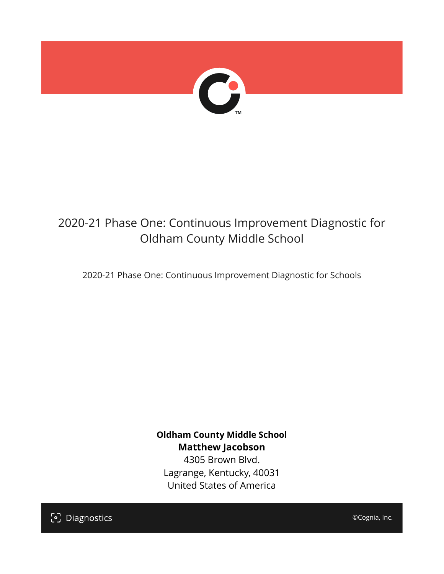

# 2020-21 Phase One: Continuous Improvement Diagnostic for Oldham County Middle School

2020-21 Phase One: Continuous Improvement Diagnostic for Schools

**Oldham County Middle School Matthew Jacobson** 4305 Brown Blvd.

Lagrange, Kentucky, 40031 United States of America

[၁] Diagnostics

©Cognia, Inc.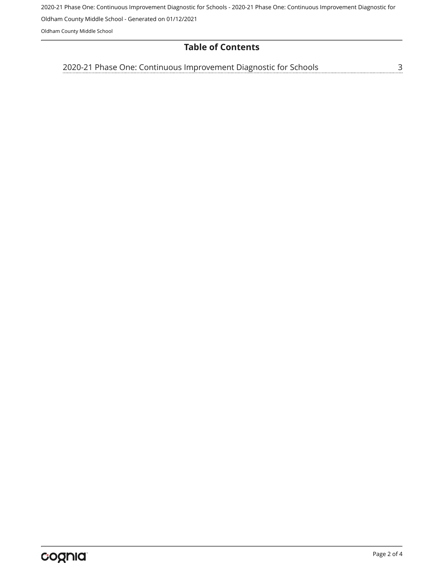2020-21 Phase One: Continuous Improvement Diagnostic for Schools - 2020-21 Phase One: Continuous Improvement Diagnostic for

Oldham County Middle School - Generated on 01/12/2021

Oldham County Middle School

#### **Table of Contents**

[2020-21 Phase One: Continuous Improvement Diagnostic for Schools](#page-2-0)[3](#page-2-0)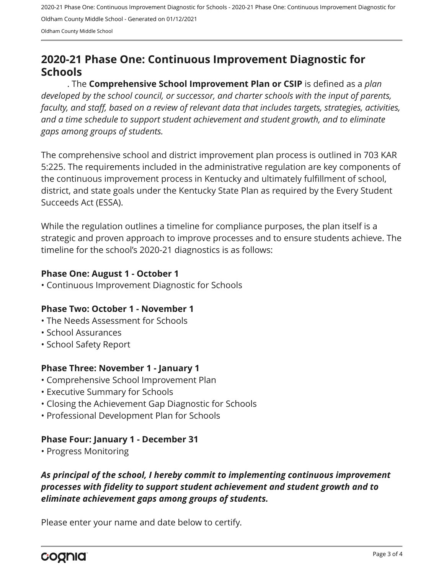2020-21 Phase One: Continuous Improvement Diagnostic for Schools - 2020-21 Phase One: Continuous Improvement Diagnostic for Oldham County Middle School - Generated on 01/12/2021 Oldham County Middle School

## <span id="page-2-0"></span>**2020-21 Phase One: Continuous Improvement Diagnostic for Schools**

. The **Comprehensive School Improvement Plan or CSIP** is defined as a *plan developed by the school council, or successor, and charter schools with the input of parents, faculty, and staff, based on a review of relevant data that includes targets, strategies, activities, and a time schedule to support student achievement and student growth, and to eliminate gaps among groups of students.*

The comprehensive school and district improvement plan process is outlined in 703 KAR 5:225. The requirements included in the administrative regulation are key components of the continuous improvement process in Kentucky and ultimately fulfillment of school, district, and state goals under the Kentucky State Plan as required by the Every Student Succeeds Act (ESSA).

While the regulation outlines a timeline for compliance purposes, the plan itself is a strategic and proven approach to improve processes and to ensure students achieve. The timeline for the school's 2020-21 diagnostics is as follows:

#### **Phase One: August 1 - October 1**

• Continuous Improvement Diagnostic for Schools

#### **Phase Two: October 1 - November 1**

- The Needs Assessment for Schools
- School Assurances
- School Safety Report

#### **Phase Three: November 1 - January 1**

- Comprehensive School Improvement Plan
- Executive Summary for Schools
- Closing the Achievement Gap Diagnostic for Schools
- Professional Development Plan for Schools

#### **Phase Four: January 1 - December 31**

• Progress Monitoring

### *As principal of the school, I hereby commit to implementing continuous improvement processes with fidelity to support student achievement and student growth and to eliminate achievement gaps among groups of students.*

Please enter your name and date below to certify.